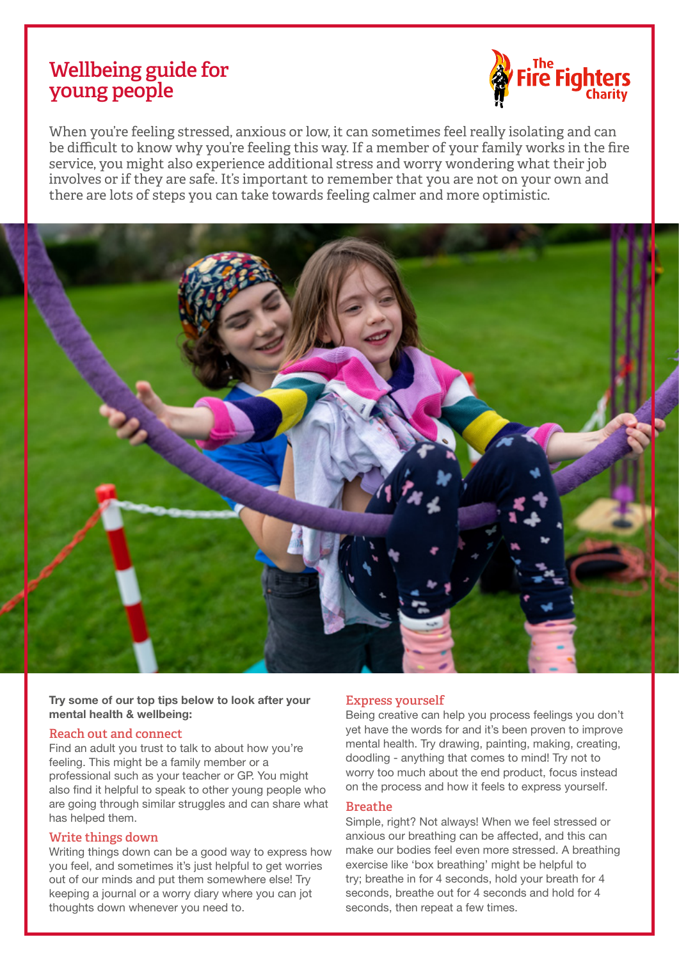# **Wellbeing guide for young people**



When you're feeling stressed, anxious or low, it can sometimes feel really isolating and can be difficult to know why you're feeling this way. If a member of your family works in the fire service, you might also experience additional stress and worry wondering what their job involves or if they are safe. It's important to remember that you are not on your own and there are lots of steps you can take towards feeling calmer and more optimistic.



**Try some of our top tips below to look after your mental health & wellbeing:** 

# **Reach out and connect**

Find an adult you trust to talk to about how you're feeling. This might be a family member or a professional such as your teacher or GP. You might also find it helpful to speak to other young people who are going through similar struggles and can share what has helped them.

# **Write things down**

Writing things down can be a good way to express how you feel, and sometimes it's just helpful to get worries out of our minds and put them somewhere else! Try keeping a journal or a worry diary where you can jot thoughts down whenever you need to.

#### **Express yourself**

Being creative can help you process feelings you don't yet have the words for and it's been proven to improve mental health. Try drawing, painting, making, creating, doodling - anything that comes to mind! Try not to worry too much about the end product, focus instead on the process and how it feels to express yourself.

#### **Breathe**

Simple, right? Not always! When we feel stressed or anxious our breathing can be affected, and this can make our bodies feel even more stressed. A breathing exercise like 'box breathing' might be helpful to try; breathe in for 4 seconds, hold your breath for 4 seconds, breathe out for 4 seconds and hold for 4 seconds, then repeat a few times.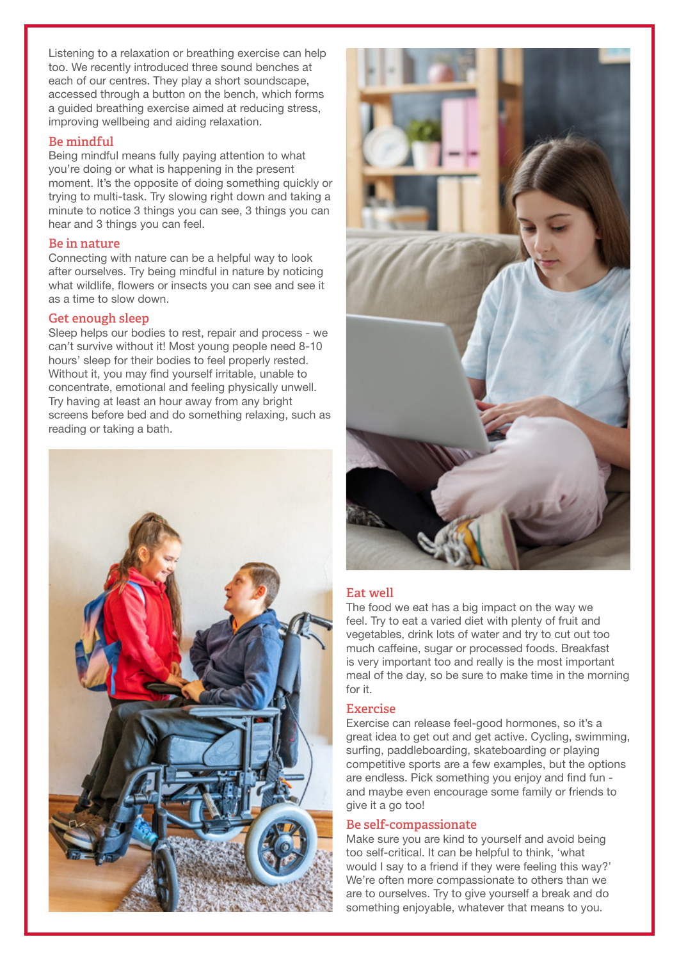Listening to a relaxation or breathing exercise can help too. We recently introduced three sound benches at each of our centres. They play a short soundscape, accessed through a button on the bench, which forms a guided breathing exercise aimed at reducing stress, improving wellbeing and aiding relaxation.

#### **Be mindful**

Being mindful means fully paying attention to what you're doing or what is happening in the present moment. It's the opposite of doing something quickly or trying to multi-task. Try slowing right down and taking a minute to notice 3 things you can see, 3 things you can hear and 3 things you can feel.

#### **Be in nature**

Connecting with nature can be a helpful way to look after ourselves. Try being mindful in nature by noticing what wildlife, flowers or insects you can see and see it as a time to slow down.

# **Get enough sleep**

Sleep helps our bodies to rest, repair and process - we can't survive without it! Most young people need 8-10 hours' sleep for their bodies to feel properly rested. Without it, you may find yourself irritable, unable to concentrate, emotional and feeling physically unwell. Try having at least an hour away from any bright screens before bed and do something relaxing, such as reading or taking a bath.





# **Eat well**

The food we eat has a big impact on the way we feel. Try to eat a varied diet with plenty of fruit and vegetables, drink lots of water and try to cut out too much caffeine, sugar or processed foods. Breakfast is very important too and really is the most important meal of the day, so be sure to make time in the morning for it.

#### **Exercise**

Exercise can release feel-good hormones, so it's a great idea to get out and get active. Cycling, swimming, surfing, paddleboarding, skateboarding or playing competitive sports are a few examples, but the options are endless. Pick something you enjoy and find fun and maybe even encourage some family or friends to give it a go too!

#### **Be self-compassionate**

Make sure you are kind to yourself and avoid being too self-critical. It can be helpful to think, 'what would I say to a friend if they were feeling this way?' We're often more compassionate to others than we are to ourselves. Try to give yourself a break and do something enjoyable, whatever that means to you.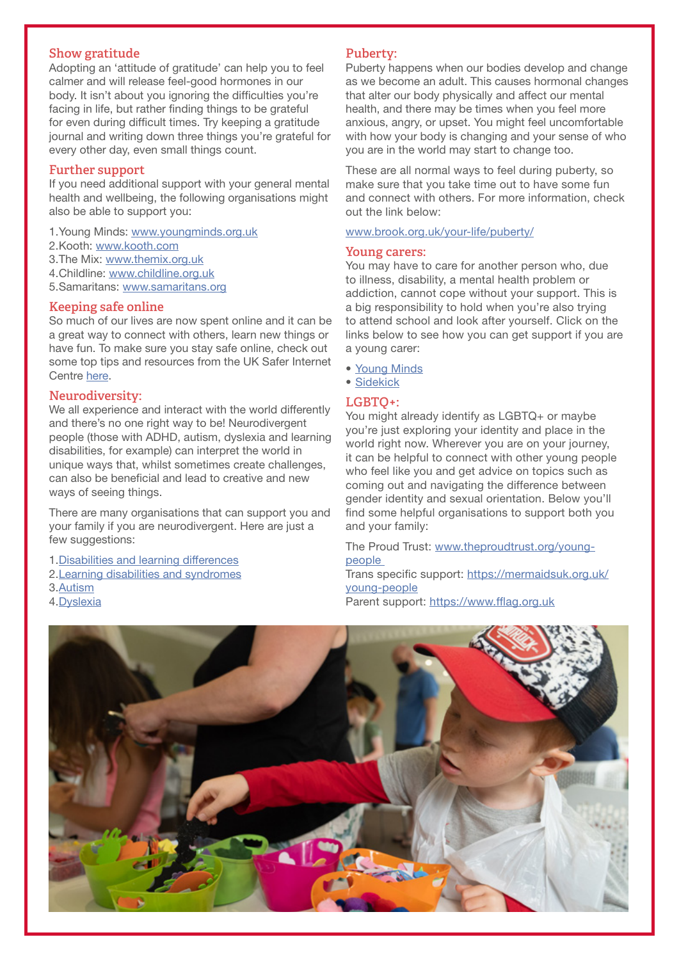# **Show gratitude**

Adopting an 'attitude of gratitude' can help you to feel calmer and will release feel-good hormones in our body. It isn't about you ignoring the difficulties you're facing in life, but rather finding things to be grateful for even during difficult times. Try keeping a gratitude journal and writing down three things you're grateful for every other day, even small things count.

# **Further support**

If you need additional support with your general mental health and wellbeing, the following organisations might also be able to support you:

1.Young Minds: [www.youngminds.org.uk](http://www.youngminds.org.uk)

2.Kooth: [www.kooth.com](http://www.kooth.com)

3.The Mix: [www.themix.org.uk](http://www.themix.org.uk)

4.Childline: [www.childline.org.uk](http://www.childline.org.uk)

5.Samaritans: [www.samaritans.org](http://www.samaritans.org)

# **Keeping safe online**

So much of our lives are now spent online and it can be a great way to connect with others, learn new things or have fun. To make sure you stay safe online, check out some top tips and resources from the UK Safer Internet Centre [here](https://saferinternet.org.uk/guide-and-resource/young-people/resources-for-11-19s).

# **Neurodiversity:**

We all experience and interact with the world differently and there's no one right way to be! Neurodivergent people (those with ADHD, autism, dyslexia and learning disabilities, for example) can interpret the world in unique ways that, whilst sometimes create challenges, can also be beneficial and lead to creative and new ways of seeing things.

There are many organisations that can support you and your family if you are neurodivergent. Here are just a few suggestions:

- 1.[Disabilities and learning differences](https://www.childline.org.uk/info-advice/you-your-body/disability-learning-differences/)
- 2.[Learning disabilities and syndromes](https://www.themix.org.uk/your-body/learning-disabilities-syndromes)
- 3.[Autism](https://www.autism.org.uk/what-we-do/support-in-the-community/family-support)
- 4.[Dyslexia](https://www.bdadyslexia.org.uk/advice/children)

# **Puberty:**

Puberty happens when our bodies develop and change as we become an adult. This causes hormonal changes that alter our body physically and affect our mental health, and there may be times when you feel more anxious, angry, or upset. You might feel uncomfortable with how your body is changing and your sense of who you are in the world may start to change too.

These are all normal ways to feel during puberty, so make sure that you take time out to have some fun and connect with others. For more information, check out the link below:

#### [www.brook.org.uk/your-life/puberty/](http://www.brook.org.uk/your-life/puberty/)

#### **Young carers:**

You may have to care for another person who, due to illness, disability, a mental health problem or addiction, cannot cope without your support. This is a big responsibility to hold when you're also trying to attend school and look after yourself. Click on the links below to see how you can get support if you are a young carer:

- [Young Minds](https://www.youngminds.org.uk/young-person/coping-with-life/young-carers/)
- [Sidekick](https://sidekick.actionforchildren.org.uk/?_ga=2.263811084.1679054268.1652865874-1965102888.1652865874)

# **LGBTQ+:**

You might already identify as LGBTQ+ or maybe you're just exploring your identity and place in the world right now. Wherever you are on your journey, it can be helpful to connect with other young people who feel like you and get advice on topics such as coming out and navigating the difference between gender identity and sexual orientation. Below you'll find some helpful organisations to support both you and your family:

The Proud Trust: [www.theproudtrust.org/young](http://www.theproudtrust.org/young-people )[people](http://www.theproudtrust.org/young-people ) 

Trans specific support: [https://mermaidsuk.org.uk/](https://mermaidsuk.org.uk/young-people) [young-people](https://mermaidsuk.org.uk/young-people)

Parent support: <https://www.fflag.org.uk>